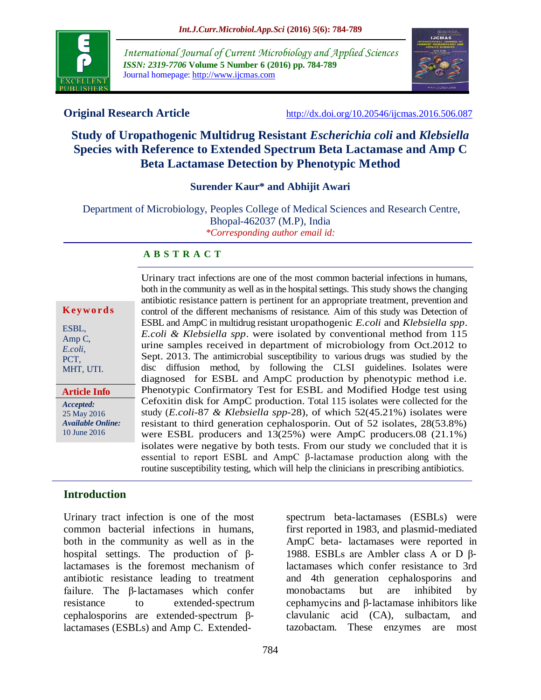

*International Journal of Current Microbiology and Applied Sciences ISSN: 2319-7706* **Volume 5 Number 6 (2016) pp. 784-789** Journal homepage: http://www.ijcmas.com



**Original Research Article** <http://dx.doi.org/10.20546/ijcmas.2016.506.087>

# **Study of Uropathogenic Multidrug Resistant** *Escherichia coli* **and** *Klebsiella* **Species with Reference to Extended Spectrum Beta Lactamase and Amp C Beta Lactamase Detection by Phenotypic Method**

#### **Surender Kaur\* and Abhijit Awari**

Department of Microbiology, Peoples College of Medical Sciences and Research Centre, Bhopal-462037 (M.P), India *\*Corresponding author email id:*

#### **A B S T R A C T**

|  | Keywords |  |  |  |  |  |
|--|----------|--|--|--|--|--|
|--|----------|--|--|--|--|--|

ESBL, Amp C, *E.coli*, PCT, MHT, UTI.

*Accepted:*  25 May 2016 *Available Online:* 10 June 2016 **Article Info**

Urinary tract infections are one of the most common bacterial infections in humans, both in the community as well as in the hospital settings. This study shows the changing antibiotic resistance pattern is pertinent for an appropriate treatment, prevention and control of the different mechanisms of resistance. Aim of this study was Detection of ESBL and AmpC in multidrug resistant uropathogenic *E.coli* and *Klebsiella spp*. *E.coli & Klebsiella spp*. were isolated by conventional method from 115 urine samples received in department of microbiology from Oct.2012 to Sept. 2013. The antimicrobial susceptibility to various drugs was studied by the disc diffusion method, by following the CLSI guidelines. Isolates were diagnosed for ESBL and AmpC production by phenotypic method i.e. Phenotypic Confirmatory Test for ESBL and Modified Hodge test using Cefoxitin disk for AmpC production. Total 115 isolates were collected for the study (*E.coli-*87 *& Klebsiella spp*-28), of which 52(45.21%) isolates were resistant to third generation cephalosporin. Out of 52 isolates, 28(53.8%) were ESBL producers and 13(25%) were AmpC producers.08 (21.1%) isolates were negative by both tests. From our study we concluded that it is essential to report ESBL and AmpC β-lactamase production along with the routine susceptibility testing, which will help the clinicians in prescribing antibiotics.

#### **Introduction**

Urinary tract infection is one of the most common bacterial infections in humans, both in the community as well as in the hospital settings. The production of βlactamases is the foremost mechanism of antibiotic resistance leading to treatment failure. The β-lactamases which confer resistance to extended-spectrum cephalosporins are extended-spectrum βlactamases (ESBLs) and Amp C. Extendedspectrum beta-lactamases (ESBLs) were first reported in 1983, and plasmid-mediated AmpC beta- lactamases were reported in 1988. ESBLs are Ambler class A or D βlactamases which confer resistance to 3rd and 4th generation cephalosporins and monobactams but are inhibited by cephamycins and β-lactamase inhibitors like clavulanic acid (CA), sulbactam, and tazobactam. These enzymes are most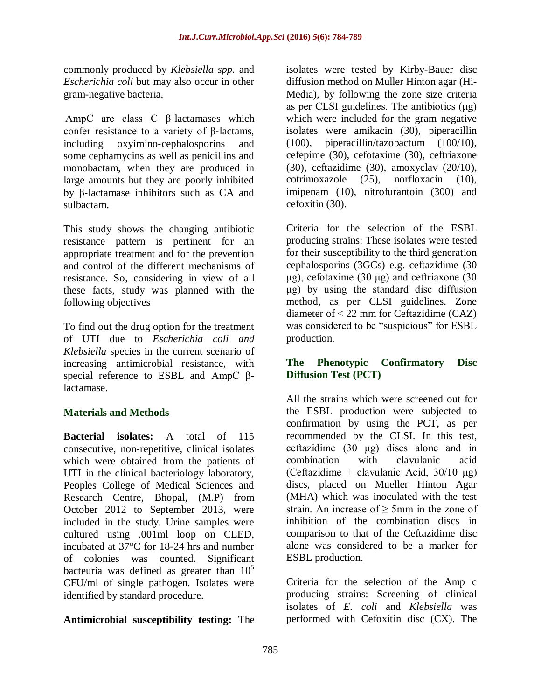commonly produced by *Klebsiella spp.* and *Escherichia coli* but may also occur in other gram-negative bacteria.

AmpC are class C β-lactamases which confer resistance to a variety of β-lactams, including oxyimino-cephalosporins and some cephamycins as well as penicillins and monobactam, when they are produced in large amounts but they are poorly inhibited by β-lactamase inhibitors such as CA and sulbactam.

This study shows the changing antibiotic resistance pattern is pertinent for an appropriate treatment and for the prevention and control of the different mechanisms of resistance. So, considering in view of all these facts, study was planned with the following objectives

To find out the drug option for the treatment of UTI due to *Escherichia coli and Klebsiella* species in the current scenario of increasing antimicrobial resistance, with special reference to ESBL and AmpC βlactamase.

# **Materials and Methods**

**Bacterial isolates:** A total of 115 consecutive, non-repetitive, clinical isolates which were obtained from the patients of UTI in the clinical bacteriology laboratory, Peoples College of Medical Sciences and Research Centre, Bhopal, (M.P) from October 2012 to September 2013, were included in the study. Urine samples were cultured using .001ml loop on CLED, incubated at 37°C for 18-24 hrs and number of colonies was counted. Significant bacteuria was defined as greater than  $10^5$ CFU/ml of single pathogen. Isolates were identified by standard procedure.

**Antimicrobial susceptibility testing:** The

isolates were tested by Kirby-Bauer disc diffusion method on Muller Hinton agar (Hi-Media), by following the zone size criteria as per CLSI guidelines. The antibiotics (μg) which were included for the gram negative isolates were amikacin (30), piperacillin (100), piperacillin/tazobactum (100/10), cefepime (30), cefotaxime (30), ceftriaxone (30), ceftazidime (30), amoxyclav (20/10), cotrimoxazole (25), norfloxacin (10), imipenam (10), nitrofurantoin (300) and cefoxitin (30).

Criteria for the selection of the ESBL producing strains: These isolates were tested for their susceptibility to the third generation cephalosporins (3GCs) e.g. ceftazidime (30 μg), cefotaxime (30 μg) and ceftriaxone (30 μg) by using the standard disc diffusion method, as per CLSI guidelines. Zone diameter of < 22 mm for Ceftazidime (CAZ) was considered to be "suspicious" for ESBL production.

## **The Phenotypic Confirmatory Disc Diffusion Test (PCT)**

All the strains which were screened out for the ESBL production were subjected to confirmation by using the PCT, as per recommended by the CLSI. In this test, ceftazidime (30 μg) discs alone and in combination with clavulanic acid (Ceftazidime + clavulanic Acid,  $30/10 \text{ µg}$ ) discs, placed on Mueller Hinton Agar (MHA) which was inoculated with the test strain. An increase of  $> 5$ mm in the zone of inhibition of the combination discs in comparison to that of the Ceftazidime disc alone was considered to be a marker for ESBL production.

Criteria for the selection of the Amp c producing strains: Screening of clinical isolates of *E. coli* and *Klebsiella* was performed with Cefoxitin disc (CX). The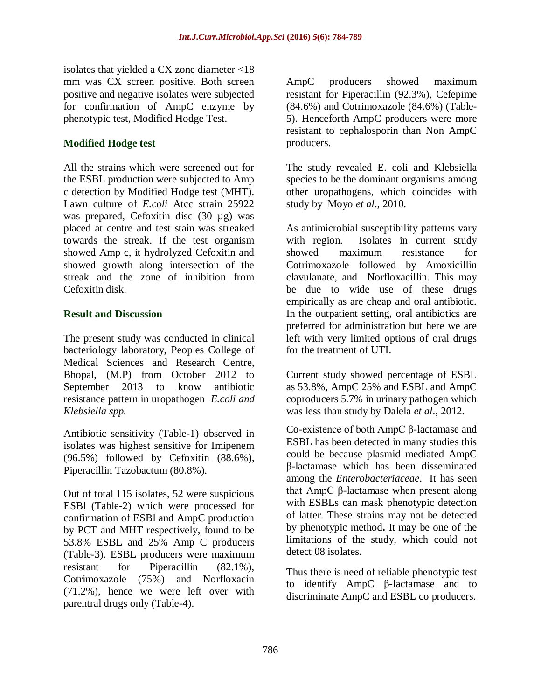isolates that yielded a CX zone diameter <18 mm was CX screen positive. Both screen positive and negative isolates were subjected for confirmation of AmpC enzyme by phenotypic test, Modified Hodge Test.

# **Modified Hodge test**

All the strains which were screened out for the ESBL production were subjected to Amp c detection by Modified Hodge test (MHT). Lawn culture of *E.coli* Atcc strain 25922 was prepared, Cefoxitin disc (30 µg) was placed at centre and test stain was streaked towards the streak. If the test organism showed Amp c, it hydrolyzed Cefoxitin and showed growth along intersection of the streak and the zone of inhibition from Cefoxitin disk.

## **Result and Discussion**

The present study was conducted in clinical bacteriology laboratory, Peoples College of Medical Sciences and Research Centre, Bhopal, (M.P) from October 2012 to September 2013 to know antibiotic resistance pattern in uropathogen *E.coli and Klebsiella spp.*

Antibiotic sensitivity (Table-1) observed in isolates was highest sensitive for Imipenem (96.5%) followed by Cefoxitin (88.6%), Piperacillin Tazobactum (80.8%).

Out of total 115 isolates, 52 were suspicious ESBl (Table-2) which were processed for confirmation of ESBl and AmpC production by PCT and MHT respectively, found to be 53.8% ESBL and 25% Amp C producers (Table-3). ESBL producers were maximum resistant for Piperacillin (82.1%), Cotrimoxazole (75%) and Norfloxacin (71.2%), hence we were left over with parentral drugs only (Table-4).

AmpC producers showed maximum resistant for Piperacillin (92.3%), Cefepime (84.6%) and Cotrimoxazole (84.6%) (Table-5). Henceforth AmpC producers were more resistant to cephalosporin than Non AmpC producers.

The study revealed E. coli and Klebsiella species to be the dominant organisms among other uropathogens, which coincides with study by Moyo *et al*., 2010.

As antimicrobial susceptibility patterns vary with region. Isolates in current study showed maximum resistance for Cotrimoxazole followed by Amoxicillin clavulanate, and Norfloxacillin. This may be due to wide use of these drugs empirically as are cheap and oral antibiotic. In the outpatient setting, oral antibiotics are preferred for administration but here we are left with very limited options of oral drugs for the treatment of UTI.

Current study showed percentage of ESBL as 53.8%, AmpC 25% and ESBL and AmpC coproducers 5.7% in urinary pathogen which was less than study by Dalela *et al*., 2012.

Co-existence of both AmpC β-lactamase and ESBL has been detected in many studies this could be because plasmid mediated AmpC β-lactamase which has been disseminated among the *Enterobacteriaceae*. It has seen that AmpC β-lactamase when present along with ESBLs can mask phenotypic detection of latter. These strains may not be detected by phenotypic method**.** It may be one of the limitations of the study, which could not detect 08 isolates.

Thus there is need of reliable phenotypic test to identify AmpC β-lactamase and to discriminate AmpC and ESBL co producers.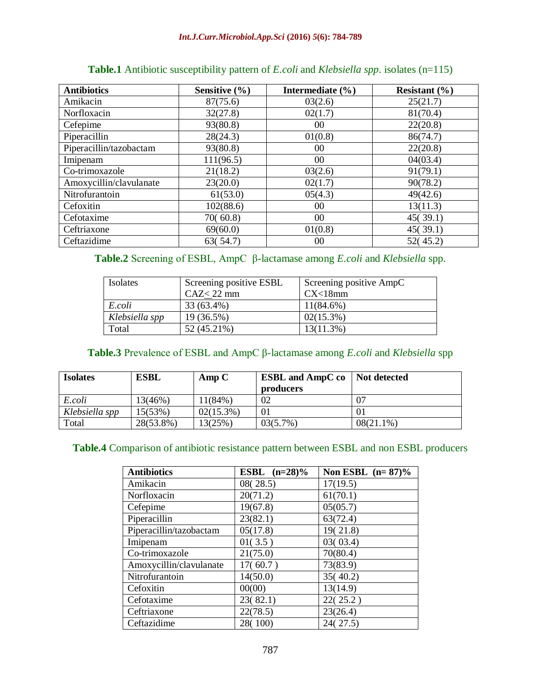| <b>Antibiotics</b>      | Sensitive $(\% )$ | Intermediate $(\% )$ | Resistant $(\% )$ |
|-------------------------|-------------------|----------------------|-------------------|
| Amikacin                | 87(75.6)          | 03(2.6)              | 25(21.7)          |
| Norfloxacin             | 32(27.8)          | 02(1.7)              | 81(70.4)          |
| Cefepime                | 93(80.8)          | 00                   | 22(20.8)          |
| Piperacillin            | 28(24.3)          | 01(0.8)              | 86(74.7)          |
| Piperacillin/tazobactam | 93(80.8)          | 00                   | 22(20.8)          |
| Imipenam                | 111(96.5)         | 00                   | 04(03.4)          |
| Co-trimoxazole          | 21(18.2)          | 03(2.6)              | 91(79.1)          |
| Amoxycillin/clavulanate | 23(20.0)          | 02(1.7)              | 90(78.2)          |
| Nitrofurantoin          | 61(53.0)          | 05(4.3)              | 49(42.6)          |
| Cefoxitin               | 102(88.6)         | 00                   | 13(11.3)          |
| Cefotaxime              | 70(60.8)          | 00                   | 45(39.1)          |
| Ceftriaxone             | 69(60.0)          | 01(0.8)              | 45(39.1)          |
| Ceftazidime             | 63(54.7)          | 00                   | 52(45.2)          |

| <b>Table.1</b> Antibiotic susceptibility pattern of <i>E.coli</i> and <i>Klebsiella spp.</i> isolates (n=115) |  |  |
|---------------------------------------------------------------------------------------------------------------|--|--|
|---------------------------------------------------------------------------------------------------------------|--|--|

**Table.2** Screening of ESBL, AmpC β-lactamase among *E.coli* and *Klebsiella* spp.

| Isolates       | Screening positive ESBL | Screening positive AmpC |
|----------------|-------------------------|-------------------------|
|                | $CAZ<22$ mm             | CX<18mm                 |
| E.coli         | 33 (63.4%)              | $11(84.6\%)$            |
| Klebsiella spp | 19 (36.5%)              | $02(15.3\%)$            |
| Total          | 52 (45.21%)             | 13(11.3%)               |

# **Table.3** Prevalence of ESBL and AmpC β-lactamase among *E.coli* and *Klebsiella* spp

| <b>Isolates</b> | <b>ESBL</b> | AmpC         | <b>ESBL</b> and AmpC co | Not detected |
|-----------------|-------------|--------------|-------------------------|--------------|
|                 |             |              | producers               |              |
| E.coli          | 13(46%)     | 11(84%)      | 02                      | 07           |
| Klebsiella spp  | 15(53%)     | $02(15.3\%)$ | $\Omega$                | 01           |
| Total           | 28(53.8%)   | 13(25%)      | 03(5.7%)                | $08(21.1\%)$ |

## **Table.4** Comparison of antibiotic resistance pattern between ESBL and non ESBL producers

| <b>Antibiotics</b>      | <b>ESBL</b> $(n=28)\%$ | Non ESBL $(n=87)\%$ |
|-------------------------|------------------------|---------------------|
| Amikacin                | 08(28.5)               | 17(19.5)            |
| Norfloxacin             | 20(71.2)               | 61(70.1)            |
| Cefepime                | 19(67.8)               | 05(05.7)            |
| Piperacillin            | 23(82.1)               | 63(72.4)            |
| Piperacillin/tazobactam | 05(17.8)               | 19(21.8)            |
| Imipenam                | 01(3.5)                | 03(03.4)            |
| Co-trimoxazole          | 21(75.0)               | 70(80.4)            |
| Amoxycillin/clavulanate | 17(60.7)               | 73(83.9)            |
| Nitrofurantoin          | 14(50.0)               | 35(40.2)            |
| Cefoxitin               | 00(00)                 | 13(14.9)            |
| Cefotaxime              | 23(82.1)               | 22(25.2)            |
| Ceftriaxone             | 22(78.5)               | 23(26.4)            |
| Ceftazidime             | 28(100)                | 24(27.5)            |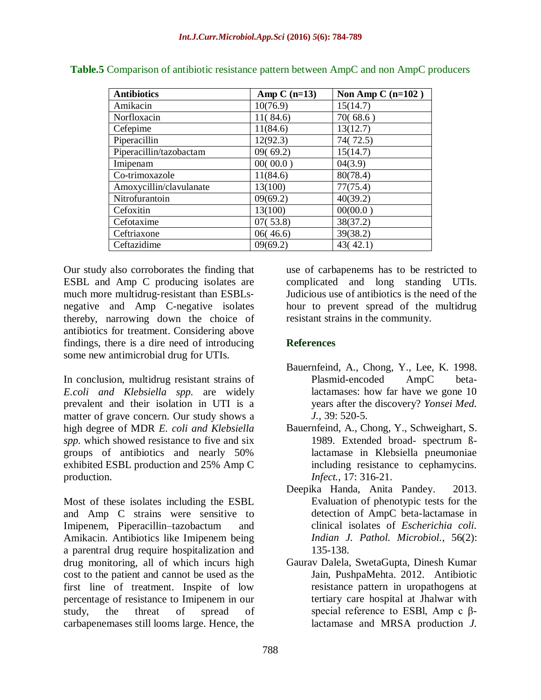| <b>Antibiotics</b>      | Amp $C(n=13)$ | Non Amp C $(n=102)$ |
|-------------------------|---------------|---------------------|
| Amikacin                | 10(76.9)      | 15(14.7)            |
| Norfloxacin             | 11(84.6)      | 70(68.6)            |
| Cefepime                | 11(84.6)      | 13(12.7)            |
| Piperacillin            | 12(92.3)      | 74(72.5)            |
| Piperacillin/tazobactam | 09(69.2)      | 15(14.7)            |
| Imipenam                | 00(00.0)      | 04(3.9)             |
| Co-trimoxazole          | 11(84.6)      | 80(78.4)            |
| Amoxycillin/clavulanate | 13(100)       | 77(75.4)            |
| Nitrofurantoin          | 09(69.2)      | 40(39.2)            |
| Cefoxitin               | 13(100)       | 00(00.0)            |
| Cefotaxime              | 07(53.8)      | 38(37.2)            |
| Ceftriaxone             | 06(46.6)      | 39(38.2)            |
| Ceftazidime             | 09(69.2)      | 43(42.1)            |

**Table.5** Comparison of antibiotic resistance pattern between AmpC and non AmpC producers

Our study also corroborates the finding that ESBL and Amp C producing isolates are much more multidrug-resistant than ESBLsnegative and Amp C-negative isolates thereby, narrowing down the choice of antibiotics for treatment. Considering above findings, there is a dire need of introducing some new antimicrobial drug for UTIs.

In conclusion, multidrug resistant strains of *E.coli and Klebsiella spp.* are widely prevalent and their isolation in UTI is a matter of grave concern. Our study shows a high degree of MDR *E. coli and Klebsiella spp.* which showed resistance to five and six groups of antibiotics and nearly 50% exhibited ESBL production and 25% Amp C production.

Most of these isolates including the ESBL and Amp C strains were sensitive to Imipenem, Piperacillin–tazobactum and Amikacin. Antibiotics like Imipenem being a parentral drug require hospitalization and drug monitoring, all of which incurs high cost to the patient and cannot be used as the first line of treatment. Inspite of low percentage of resistance to Imipenem in our study, the threat of spread of carbapenemases still looms large. Hence, the

use of carbapenems has to be restricted to complicated and long standing UTIs. Judicious use of antibiotics is the need of the hour to prevent spread of the multidrug resistant strains in the community.

# **References**

- Bauernfeind, A., Chong, Y., Lee, K. 1998. Plasmid-encoded AmpC betalactamases: how far have we gone 10 years after the discovery? *Yonsei Med. J.,* 39: 520-5.
- Bauernfeind, A., Chong, Y., Schweighart, S. 1989. Extended broad- spectrum ßlactamase in Klebsiella pneumoniae including resistance to cephamycins. *Infect.,* 17: 316-21.
- Deepika Handa, Anita Pandey. 2013. Evaluation of phenotypic tests for the detection of AmpC beta-lactamase in clinical isolates of *Escherichia coli. Indian J. Pathol. Microbiol.,* 56(2): 135-138.
- Gaurav Dalela, SwetaGupta, Dinesh Kumar Jain, PushpaMehta. 2012. Antibiotic resistance pattern in uropathogens at tertiary care hospital at Jhalwar with special reference to ESBl, Amp c βlactamase and MRSA production *J.*